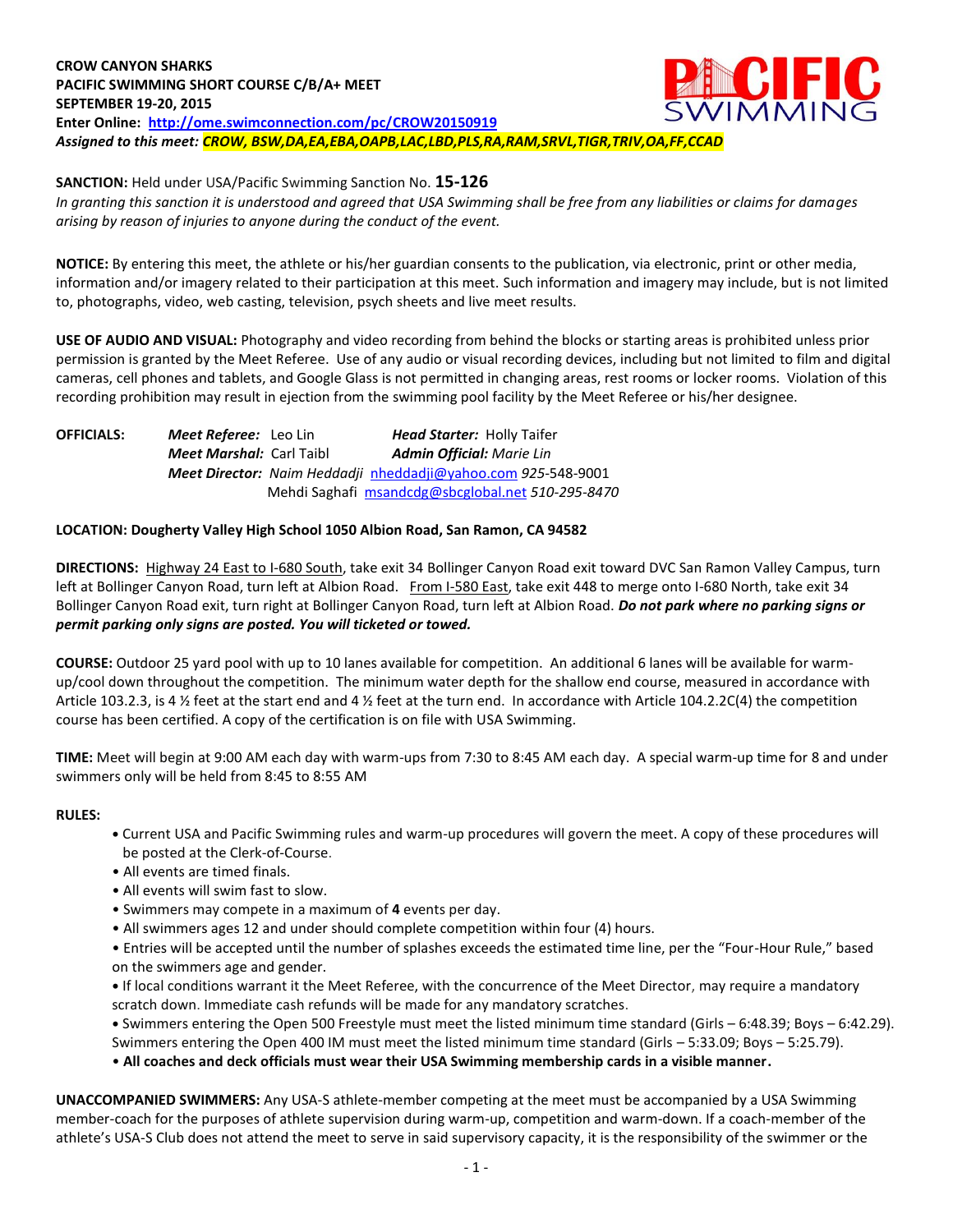

*In granting this sanction it is understood and agreed that USA Swimming shall be free from any liabilities or claims for damages arising by reason of injuries to anyone during the conduct of the event.*

**NOTICE:** By entering this meet, the athlete or his/her guardian consents to the publication, via electronic, print or other media, information and/or imagery related to their participation at this meet. Such information and imagery may include, but is not limited to, photographs, video, web casting, television, psych sheets and live meet results.

**USE OF AUDIO AND VISUAL:** Photography and video recording from behind the blocks or starting areas is prohibited unless prior permission is granted by the Meet Referee. Use of any audio or visual recording devices, including but not limited to film and digital cameras, cell phones and tablets, and Google Glass is not permitted in changing areas, rest rooms or locker rooms. Violation of this recording prohibition may result in ejection from the swimming pool facility by the Meet Referee or his/her designee.

**OFFICIALS:** *Meet Referee:* Leo Lin *Head Starter:* Holly Taifer *Meet Marshal:* Carl Taibl *Admin Official: Marie Lin Meet Director: Naim Heddadji* [nheddadji@yahoo.com](mailto:nheddadji@yahoo.com) *925-*548-9001 Mehdi Saghafi [msandcdg@sbcglobal.net](mailto:msandcdg@sbcglobal.net) *510-295-8470* 

## **LOCATION: Dougherty Valley High School 1050 Albion Road, San Ramon, CA 94582**

**DIRECTIONS:** Highway 24 East to I-680 South, take exit 34 Bollinger Canyon Road exit toward DVC San Ramon Valley Campus, turn left at Bollinger Canyon Road, turn left at Albion Road. From I-580 East, take exit 448 to merge onto I-680 North, take exit 34 Bollinger Canyon Road exit, turn right at Bollinger Canyon Road, turn left at Albion Road. *Do not park where no parking signs or permit parking only signs are posted. You will ticketed or towed.* 

**COURSE:** Outdoor 25 yard pool with up to 10 lanes available for competition.An additional 6 lanes will be available for warmup/cool down throughout the competition. The minimum water depth for the shallow end course, measured in accordance with Article 103.2.3, is 4 ½ feet at the start end and 4 ½ feet at the turn end. In accordance with Article 104.2.2C(4) the competition course has been certified. A copy of the certification is on file with USA Swimming.

**TIME:** Meet will begin at 9:00 AM each day with warm-ups from 7:30 to 8:45 AM each day. A special warm-up time for 8 and under swimmers only will be held from 8:45 to 8:55 AM

## **RULES:**

- **•** Current USA and Pacific Swimming rules and warm-up procedures will govern the meet. A copy of these procedures will be posted at the Clerk-of-Course.
- All events are timed finals.
- All events will swim fast to slow.
- Swimmers may compete in a maximum of **4** events per day.
- All swimmers ages 12 and under should complete competition within four (4) hours.

• Entries will be accepted until the number of splashes exceeds the estimated time line, per the "Four-Hour Rule," based on the swimmers age and gender.

**•** If local conditions warrant it the Meet Referee, with the concurrence of the Meet Director, may require a mandatory scratch down. Immediate cash refunds will be made for any mandatory scratches.

**•** Swimmers entering the Open 500 Freestyle must meet the listed minimum time standard (Girls – 6:48.39; Boys – 6:42.29). Swimmers entering the Open 400 IM must meet the listed minimum time standard (Girls – 5:33.09; Boys – 5:25.79).

• **All coaches and deck officials must wear their USA Swimming membership cards in a visible manner.** 

**UNACCOMPANIED SWIMMERS:** Any USA-S athlete-member competing at the meet must be accompanied by a USA Swimming member-coach for the purposes of athlete supervision during warm-up, competition and warm-down. If a coach-member of the athlete's USA-S Club does not attend the meet to serve in said supervisory capacity, it is the responsibility of the swimmer or the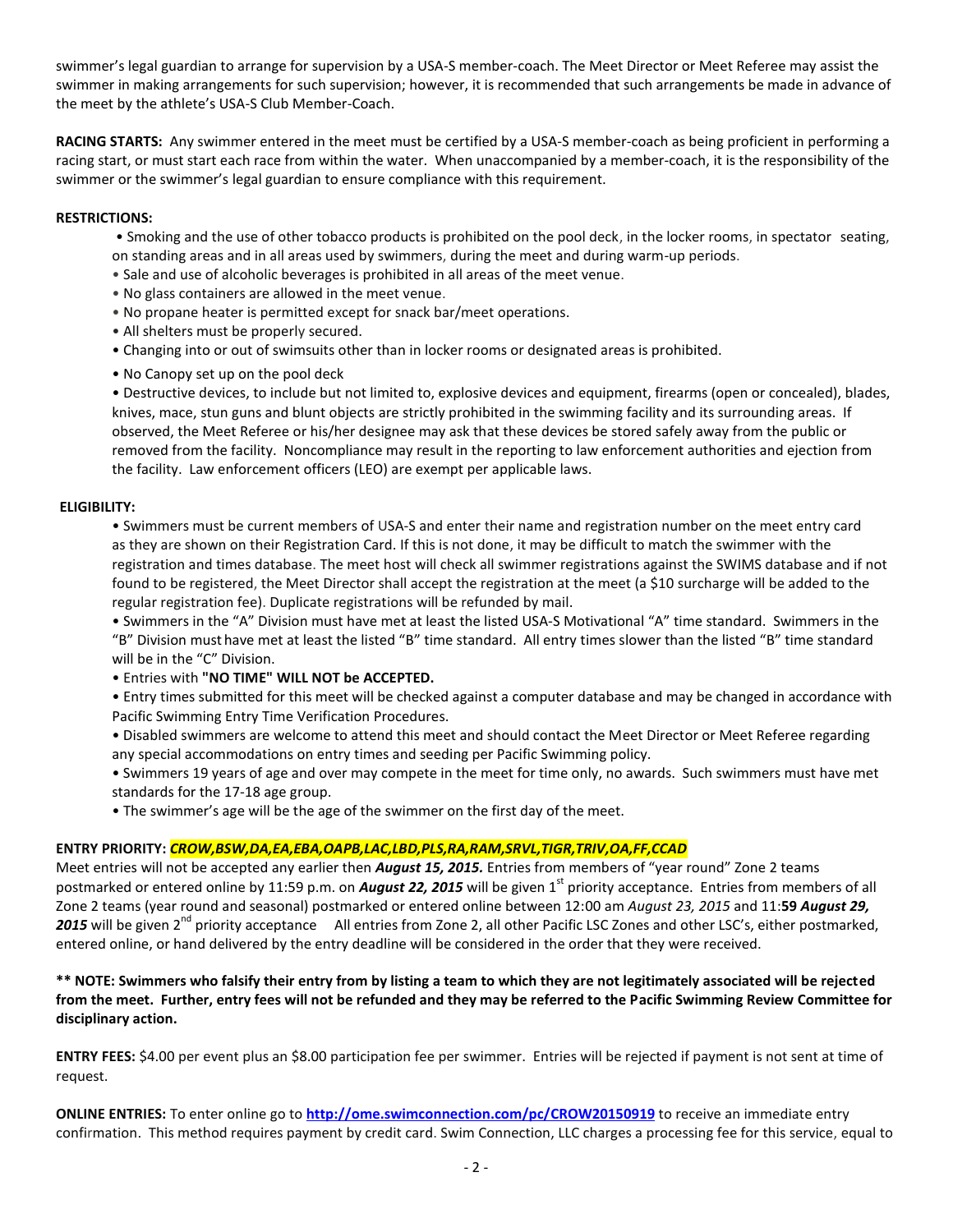swimmer's legal guardian to arrange for supervision by a USA-S member-coach. The Meet Director or Meet Referee may assist the swimmer in making arrangements for such supervision; however, it is recommended that such arrangements be made in advance of the meet by the athlete's USA-S Club Member-Coach.

**RACING STARTS:** Any swimmer entered in the meet must be certified by a USA-S member-coach as being proficient in performing a racing start, or must start each race from within the water. When unaccompanied by a member-coach, it is the responsibility of the swimmer or the swimmer's legal guardian to ensure compliance with this requirement.

#### **RESTRICTIONS:**

- Smoking and the use of other tobacco products is prohibited on the pool deck, in the locker rooms, in spectator seating, on standing areas and in all areas used by swimmers, during the meet and during warm-up periods.
- Sale and use of alcoholic beverages is prohibited in all areas of the meet venue.
- No glass containers are allowed in the meet venue.
- No propane heater is permitted except for snack bar/meet operations.
- All shelters must be properly secured.
- Changing into or out of swimsuits other than in locker rooms or designated areas is prohibited.
- No Canopy set up on the pool deck

• Destructive devices, to include but not limited to, explosive devices and equipment, firearms (open or concealed), blades, knives, mace, stun guns and blunt objects are strictly prohibited in the swimming facility and its surrounding areas. If observed, the Meet Referee or his/her designee may ask that these devices be stored safely away from the public or removed from the facility. Noncompliance may result in the reporting to law enforcement authorities and ejection from the facility. Law enforcement officers (LEO) are exempt per applicable laws.

## **ELIGIBILITY:**

• Swimmers must be current members of USA-S and enter their name and registration number on the meet entry card as they are shown on their Registration Card. If this is not done, it may be difficult to match the swimmer with the registration and times database. The meet host will check all swimmer registrations against the SWIMS database and if not found to be registered, the Meet Director shall accept the registration at the meet (a \$10 surcharge will be added to the regular registration fee). Duplicate registrations will be refunded by mail.

• Swimmers in the "A" Division must have met at least the listed USA-S Motivational "A" time standard. Swimmers in the "B" Division must have met at least the listed "B" time standard. All entry times slower than the listed "B" time standard will be in the "C" Division.

• Entries with **"NO TIME" WILL NOT be ACCEPTED.**

• Entry times submitted for this meet will be checked against a computer database and may be changed in accordance with Pacific Swimming Entry Time Verification Procedures.

• Disabled swimmers are welcome to attend this meet and should contact the Meet Director or Meet Referee regarding any special accommodations on entry times and seeding per Pacific Swimming policy.

• Swimmers 19 years of age and over may compete in the meet for time only, no awards. Such swimmers must have met standards for the 17-18 age group.

• The swimmer's age will be the age of the swimmer on the first day of the meet.

# **ENTRY PRIORITY:** *CROW,BSW,DA,EA,EBA,OAPB,LAC,LBD,PLS,RA,RAM,SRVL,TIGR,TRIV,OA,FF,CCAD*

Meet entries will not be accepted any earlier then *August 15, 2015.* Entries from members of "year round" Zone 2 teams postmarked or entered online by 11:59 p.m. on **August 22, 2015** will be given 1<sup>st</sup> priority acceptance. Entries from members of all Zone 2 teams (year round and seasonal) postmarked or entered online between 12:00 am *August 23, 2015* and 11:**59** *August 29,*  2015 will be given 2<sup>nd</sup> priority acceptance All entries from Zone 2, all other Pacific LSC Zones and other LSC's, either postmarked, entered online, or hand delivered by the entry deadline will be considered in the order that they were received.

**\*\* NOTE: Swimmers who falsify their entry from by listing a team to which they are not legitimately associated will be rejected from the meet. Further, entry fees will not be refunded and they may be referred to the Pacific Swimming Review Committee for disciplinary action.**

**ENTRY FEES:** \$4.00 per event plus an \$8.00 participation fee per swimmer. Entries will be rejected if payment is not sent at time of request.

**ONLINE ENTRIES:** To enter online go to **<http://ome.swimconnection.com/pc/CROW20150919>** to receive an immediate entry confirmation. This method requires payment by credit card. Swim Connection, LLC charges a processing fee for this service, equal to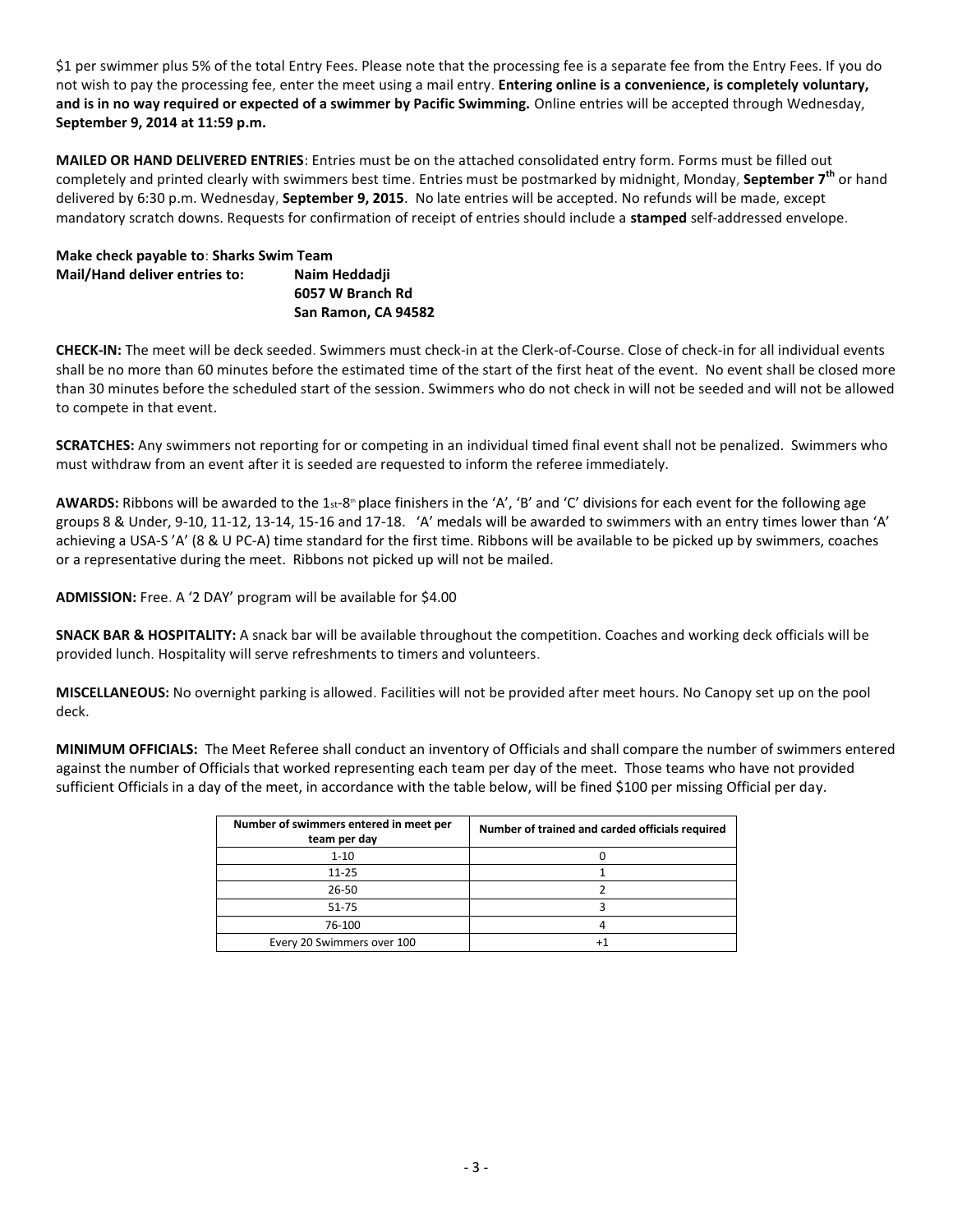\$1 per swimmer plus 5% of the total Entry Fees. Please note that the processing fee is a separate fee from the Entry Fees. If you do not wish to pay the processing fee, enter the meet using a mail entry. **Entering online is a convenience, is completely voluntary, and is in no way required or expected of a swimmer by Pacific Swimming.** Online entries will be accepted through Wednesday, **September 9, 2014 at 11:59 p.m.**

**MAILED OR HAND DELIVERED ENTRIES**: Entries must be on the attached consolidated entry form. Forms must be filled out completely and printed clearly with swimmers best time. Entries must be postmarked by midnight, Monday, **September 7th** or hand delivered by 6:30 p.m. Wednesday, **September 9, 2015**. No late entries will be accepted. No refunds will be made, except mandatory scratch downs. Requests for confirmation of receipt of entries should include a **stamped** self-addressed envelope.

**Make check payable to**: **Sharks Swim Team Mail/Hand deliver entries to: Naim Heddadji 6057 W Branch Rd San Ramon, CA 94582** 

**CHECK-IN:** The meet will be deck seeded. Swimmers must check-in at the Clerk-of-Course. Close of check-in for all individual events shall be no more than 60 minutes before the estimated time of the start of the first heat of the event. No event shall be closed more than 30 minutes before the scheduled start of the session. Swimmers who do not check in will not be seeded and will not be allowed to compete in that event.

**SCRATCHES:** Any swimmers not reporting for or competing in an individual timed final event shall not be penalized. Swimmers who must withdraw from an event after it is seeded are requested to inform the referee immediately.

AWARDS: Ribbons will be awarded to the 1st-8<sup>th</sup> place finishers in the 'A', 'B' and 'C' divisions for each event for the following age groups 8 & Under, 9-10, 11-12, 13-14, 15‐16 and 17‐18. 'A' medals will be awarded to swimmers with an entry times lower than 'A' achieving a USA-S 'A' (8 & U PC-A) time standard for the first time. Ribbons will be available to be picked up by swimmers, coaches or a representative during the meet. Ribbons not picked up will not be mailed.

**ADMISSION:** Free. A '2 DAY' program will be available for \$4.00

**SNACK BAR & HOSPITALITY:** A snack bar will be available throughout the competition. Coaches and working deck officials will be provided lunch. Hospitality will serve refreshments to timers and volunteers.

**MISCELLANEOUS:** No overnight parking is allowed. Facilities will not be provided after meet hours. No Canopy set up on the pool deck.

**MINIMUM OFFICIALS:** The Meet Referee shall conduct an inventory of Officials and shall compare the number of swimmers entered against the number of Officials that worked representing each team per day of the meet. Those teams who have not provided sufficient Officials in a day of the meet, in accordance with the table below, will be fined \$100 per missing Official per day.

| Number of swimmers entered in meet per<br>team per day | Number of trained and carded officials required |
|--------------------------------------------------------|-------------------------------------------------|
| $1 - 10$                                               |                                                 |
| $11 - 25$                                              |                                                 |
| $26 - 50$                                              |                                                 |
| 51-75                                                  |                                                 |
| 76-100                                                 |                                                 |
| Every 20 Swimmers over 100                             |                                                 |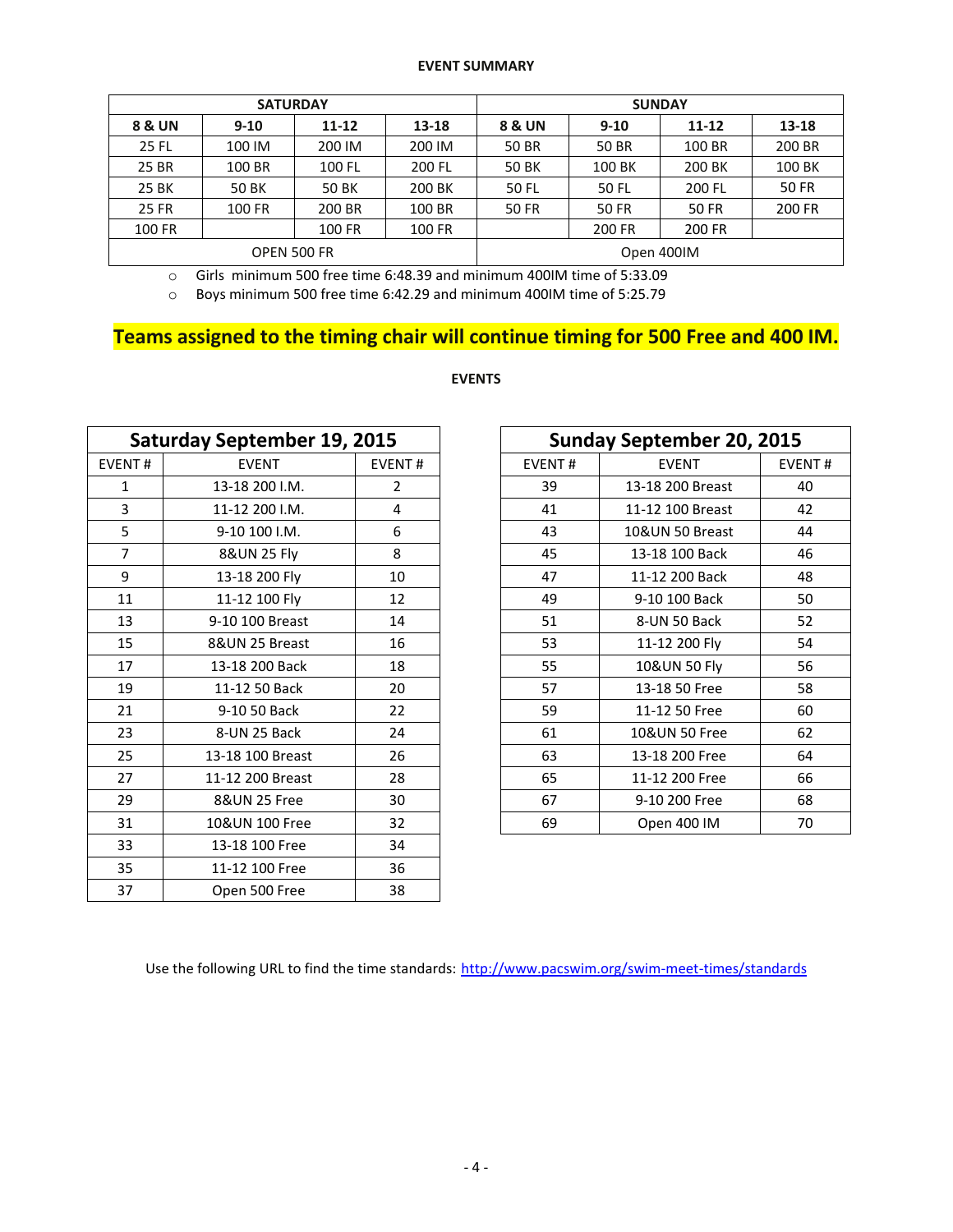#### **EVENT SUMMARY**

|              | <b>SATURDAY</b> |             |        | <b>SUNDAY</b> |              |           |              |  |  |
|--------------|-----------------|-------------|--------|---------------|--------------|-----------|--------------|--|--|
| 8 & UN       | $9 - 10$        | $11 - 12$   | 13-18  | 8 & UN        | $9 - 10$     | $11 - 12$ | 13-18        |  |  |
| 25 FL        | 100 IM          | 200 IM      | 200 IM | <b>50 BR</b>  | <b>50 BR</b> |           | 200 BR       |  |  |
| 25 BR        | 100 BR          | 100 FL      | 200 FL | 50 BK         | 100 BK       | 200 BK    | 100 BK       |  |  |
| 25 BK        | <b>50 BK</b>    | 50 BK       | 200 BK | 50 FL         | 50 FL        | 200 FL    | <b>50 FR</b> |  |  |
| <b>25 FR</b> | 100 FR          | 200 BR      | 100 BR | <b>50 FR</b>  | 50 FR        | 50 FR     | 200 FR       |  |  |
| 100 FR       |                 | 100 FR      | 100 FR |               | 200 FR       | 200 FR    |              |  |  |
|              |                 | OPEN 500 FR |        | Open 400IM    |              |           |              |  |  |

o Girls minimum 500 free time 6:48.39 and minimum 400IM time of 5:33.09

o Boys minimum 500 free time 6:42.29 and minimum 400IM time of 5:25.79

# **Teams assigned to the timing chair will continue timing for 500 Free and 400 IM.**

| <b>Saturday September 19, 2015</b> |                  |                |        | <b>Sunday September 20, 2015</b> |               |
|------------------------------------|------------------|----------------|--------|----------------------------------|---------------|
| <b>EVENT#</b>                      | <b>EVENT</b>     | <b>EVENT#</b>  | EVENT# | <b>EVENT</b>                     | <b>EVENT#</b> |
| 1                                  | 13-18 200 I.M.   | $\overline{2}$ | 39     | 13-18 200 Breast                 | 40            |
| 3                                  | 11-12 200 I.M.   | 4              | 41     | 11-12 100 Breast                 | 42            |
| 5                                  | 9-10 100 I.M.    | 6              | 43     | 10&UN 50 Breast                  | 44            |
| $\overline{7}$                     | 8&UN 25 Fly      | 8              | 45     | 13-18 100 Back                   | 46            |
| 9                                  | 13-18 200 Fly    | 10             | 47     | 11-12 200 Back                   | 48            |
| 11                                 | 11-12 100 Fly    | 12             | 49     | 9-10 100 Back                    | 50            |
| 13                                 | 9-10 100 Breast  | 14             | 51     | 8-UN 50 Back                     | 52            |
| 15                                 | 8&UN 25 Breast   | 16             | 53     | 11-12 200 Fly                    | 54            |
| 17                                 | 13-18 200 Back   | 18             | 55     | 10&UN 50 Fly                     | 56            |
| 19                                 | 11-12 50 Back    | 20             | 57     | 13-18 50 Free                    | 58            |
| 21                                 | 9-10 50 Back     | 22             | 59     | 11-12 50 Free                    | 60            |
| 23                                 | 8-UN 25 Back     | 24             | 61     | 10&UN 50 Free                    | 62            |
| 25                                 | 13-18 100 Breast | 26             | 63     | 13-18 200 Free                   | 64            |
| 27                                 | 11-12 200 Breast | 28             | 65     | 11-12 200 Free                   | 66            |
| 29                                 | 8&UN 25 Free     | 30             | 67     | 9-10 200 Free                    | 68            |
| 31                                 | 10&UN 100 Free   | 32             | 69     | Open 400 IM                      | 70            |
| 33                                 | 13-18 100 Free   | 34             |        |                                  |               |
| 35                                 | 11-12 100 Free   | 36             |        |                                  |               |
| 37                                 | Open 500 Free    | 38             |        |                                  |               |

# **EVENTS**

| <b>Sunday September 20, 2015</b> |                  |               |  |  |  |  |  |
|----------------------------------|------------------|---------------|--|--|--|--|--|
| <b>EVENT#</b>                    | <b>EVENT</b>     | <b>EVENT#</b> |  |  |  |  |  |
| 39                               | 13-18 200 Breast | 40            |  |  |  |  |  |
| 41                               | 11-12 100 Breast | 42            |  |  |  |  |  |
| 43                               | 10&UN 50 Breast  | 44            |  |  |  |  |  |
| 45                               | 13-18 100 Back   | 46            |  |  |  |  |  |
| 47                               | 11-12 200 Back   |               |  |  |  |  |  |
| 49                               | 9-10 100 Back    | 50            |  |  |  |  |  |
| 51                               | 8-UN 50 Back     | 52            |  |  |  |  |  |
| 53                               | 11-12 200 Fly    | 54            |  |  |  |  |  |
| 55                               | 10&UN 50 Fly     | 56            |  |  |  |  |  |
| 57                               | 13-18 50 Free    | 58            |  |  |  |  |  |
| 59                               | 11-12 50 Free    | 60            |  |  |  |  |  |
| 61                               | 10&UN 50 Free    | 62            |  |  |  |  |  |
| 63                               | 13-18 200 Free   | 64            |  |  |  |  |  |
| 65                               | 11-12 200 Free   | 66            |  |  |  |  |  |
| 67                               | 9-10 200 Free    | 68            |  |  |  |  |  |
| 69                               | Open 400 IM      | 70            |  |  |  |  |  |

Use the following URL to find the time standards: <http://www.pacswim.org/swim-meet-times/standards>